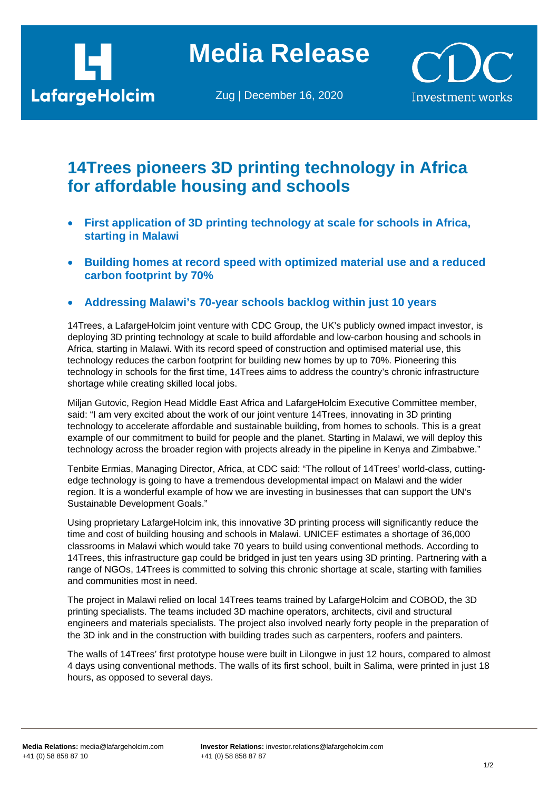

**Media Release**

Zug | December 16, 2020



## **14Trees pioneers 3D printing technology in Africa for affordable housing and schools**

- **First application of 3D printing technology at scale for schools in Africa, starting in Malawi**
- **Building homes at record speed with optimized material use and a reduced carbon footprint by 70%**
- **Addressing Malawi's 70-year schools backlog within just 10 years**

14Trees, a LafargeHolcim joint venture with CDC Group, the UK's publicly owned impact investor, is deploying 3D printing technology at scale to build affordable and low-carbon housing and schools in Africa, starting in Malawi. With its record speed of construction and optimised material use, this technology reduces the carbon footprint for building new homes by up to 70%. Pioneering this technology in schools for the first time, 14Trees aims to address the country's chronic infrastructure shortage while creating skilled local jobs.

Miljan Gutovic, Region Head Middle East Africa and LafargeHolcim Executive Committee member, said: "I am very excited about the work of our joint venture 14Trees, innovating in 3D printing technology to accelerate affordable and sustainable building, from homes to schools. This is a great example of our commitment to build for people and the planet. Starting in Malawi, we will deploy this technology across the broader region with projects already in the pipeline in Kenya and Zimbabwe."

Tenbite Ermias, Managing Director, Africa, at CDC said: "The rollout of 14Trees' world-class, cuttingedge technology is going to have a tremendous developmental impact on Malawi and the wider region. It is a wonderful example of how we are investing in businesses that can support the UN's Sustainable Development Goals."

Using proprietary LafargeHolcim ink, this innovative 3D printing process will significantly reduce the time and cost of building housing and schools in Malawi. UNICEF estimates a shortage of 36,000 classrooms in Malawi which would take 70 years to build using conventional methods. According to 14Trees, this infrastructure gap could be bridged in just ten years using 3D printing. Partnering with a range of NGOs, 14Trees is committed to solving this chronic shortage at scale, starting with families and communities most in need.

The project in Malawi relied on local 14Trees teams trained by LafargeHolcim and COBOD, the 3D printing specialists. The teams included 3D machine operators, architects, civil and structural engineers and materials specialists. The project also involved nearly forty people in the preparation of the 3D ink and in the construction with building trades such as carpenters, roofers and painters.

The walls of 14Trees' first prototype house were built in Lilongwe in just 12 hours, compared to almost 4 days using conventional methods. The walls of its first school, built in Salima, were printed in just 18 hours, as opposed to several days.